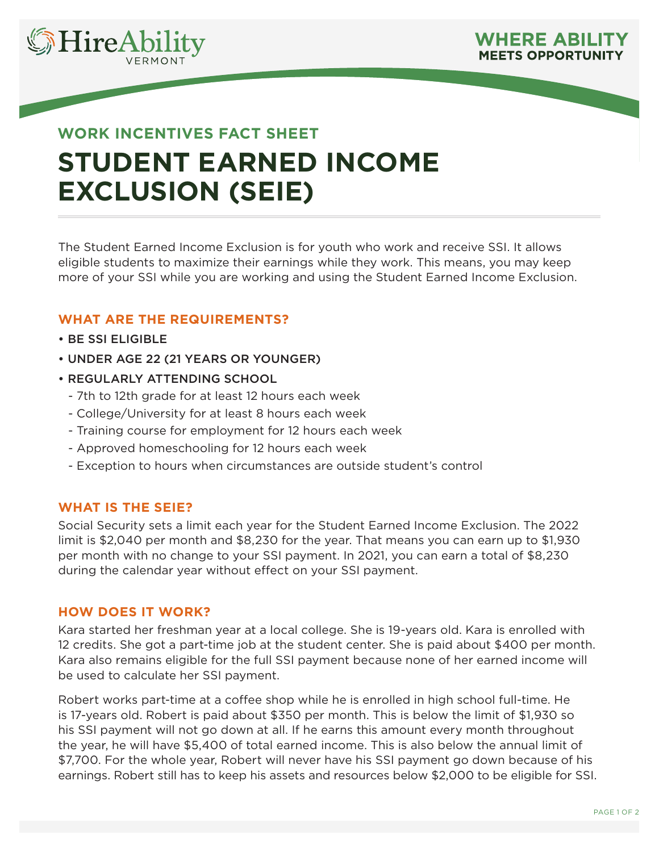



# **WORK INCENTIVES FACT SHEET STUDENT EARNED INCOME EXCLUSION (SEIE)**

The Student Earned Income Exclusion is for youth who work and receive SSI. It allows eligible students to maximize their earnings while they work. This means, you may keep more of your SSI while you are working and using the Student Earned Income Exclusion.

### **WHAT ARE THE REQUIREMENTS?**

- BE SSI ELIGIBLE
- UNDER AGE 22 (21 YEARS OR YOUNGER)
- REGULARLY ATTENDING SCHOOL
	- 7th to 12th grade for at least 12 hours each week
	- College/University for at least 8 hours each week
	- Training course for employment for 12 hours each week
	- Approved homeschooling for 12 hours each week
	- Exception to hours when circumstances are outside student's control

#### **WHAT IS THE SEIE?**

Social Security sets a limit each year for the Student Earned Income Exclusion. The 2022 limit is \$2,040 per month and \$8,230 for the year. That means you can earn up to \$1,930 per month with no change to your SSI payment. In 2021, you can earn a total of \$8,230 during the calendar year without effect on your SSI payment.

#### **HOW DOES IT WORK?**

Kara started her freshman year at a local college. She is 19-years old. Kara is enrolled with 12 credits. She got a part-time job at the student center. She is paid about \$400 per month. Kara also remains eligible for the full SSI payment because none of her earned income will be used to calculate her SSI payment.

Robert works part-time at a coffee shop while he is enrolled in high school full-time. He is 17-years old. Robert is paid about \$350 per month. This is below the limit of \$1,930 so his SSI payment will not go down at all. If he earns this amount every month throughout the year, he will have \$5,400 of total earned income. This is also below the annual limit of \$7,700. For the whole year, Robert will never have his SSI payment go down because of his earnings. Robert still has to keep his assets and resources below \$2,000 to be eligible for SSI.